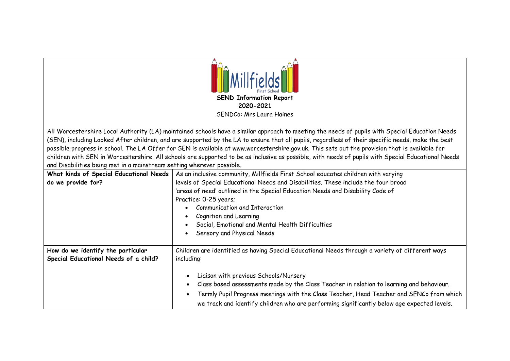

All Worcestershire Local Authority (LA) maintained schools have a similar approach to meeting the needs of pupils with Special Education Needs (SEN), including Looked After children, and are supported by the LA to ensure that all pupils, regardless of their specific needs, make the best possible progress in school. The LA Offer for SEN is available at www.worcestershire.gov.uk. This sets out the provision that is available for children with SEN in Worcestershire. All schools are supported to be as inclusive as possible, with needs of pupils with Special Educational Needs and Disabilities being met in a mainstream setting wherever possible.

| What kinds of Special Educational Needs<br>do we provide for?              | As an inclusive community, Millfields First School educates children with varying<br>levels of Special Educational Needs and Disabilities. These include the four broad<br>'areas of need' outlined in the Special Education Needs and Disability Code of<br>Practice: 0-25 years;<br>Communication and Interaction<br>Cognition and Learning                      |
|----------------------------------------------------------------------------|--------------------------------------------------------------------------------------------------------------------------------------------------------------------------------------------------------------------------------------------------------------------------------------------------------------------------------------------------------------------|
|                                                                            | Social, Emotional and Mental Health Difficulties                                                                                                                                                                                                                                                                                                                   |
|                                                                            | Sensory and Physical Needs                                                                                                                                                                                                                                                                                                                                         |
| How do we identify the particular<br>Special Educational Needs of a child? | Children are identified as having Special Educational Needs through a variety of different ways<br>including:                                                                                                                                                                                                                                                      |
|                                                                            | Liaison with previous Schools/Nursery<br>$\bullet$<br>Class based assessments made by the Class Teacher in relation to learning and behaviour.<br>$\bullet$<br>Termly Pupil Progress meetings with the Class Teacher, Head Teacher and SENCo from which<br>$\bullet$<br>we track and identify children who are performing significantly below age expected levels. |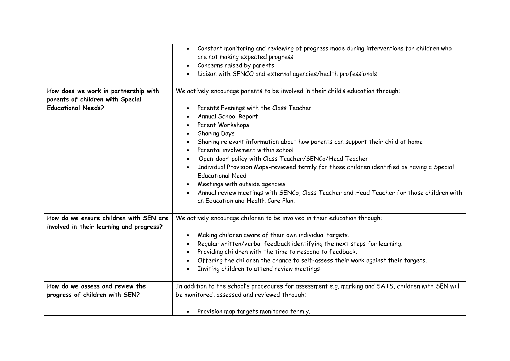|                                                                                                       | Constant monitoring and reviewing of progress made during interventions for children who<br>$\bullet$<br>are not making expected progress.<br>Concerns raised by parents<br>Liaison with SENCO and external agencies/health professionals<br>$\bullet$                                                                                                                                                                                                                                                                                                                                                                                                                                                                         |
|-------------------------------------------------------------------------------------------------------|--------------------------------------------------------------------------------------------------------------------------------------------------------------------------------------------------------------------------------------------------------------------------------------------------------------------------------------------------------------------------------------------------------------------------------------------------------------------------------------------------------------------------------------------------------------------------------------------------------------------------------------------------------------------------------------------------------------------------------|
| How does we work in partnership with<br>parents of children with Special<br><b>Educational Needs?</b> | We actively encourage parents to be involved in their child's education through:<br>Parents Evenings with the Class Teacher<br>$\bullet$<br>Annual School Report<br>Parent Workshops<br>$\bullet$<br>Sharing Days<br>$\bullet$<br>Sharing relevant information about how parents can support their child at home<br>Parental involvement within school<br>$\bullet$<br>'Open-door' policy with Class Teacher/SENCo/Head Teacher<br>Individual Provision Maps-reviewed termly for those children identified as having a Special<br><b>Educational Need</b><br>Meetings with outside agencies<br>Annual review meetings with SENCo, Class Teacher and Head Teacher for those children with<br>an Education and Health Care Plan. |
| How do we ensure children with SEN are<br>involved in their learning and progress?                    | We actively encourage children to be involved in their education through:<br>Making children aware of their own individual targets.<br>$\bullet$<br>Regular written/verbal feedback identifying the next steps for learning.<br>Providing children with the time to respond to feedback.<br>Offering the children the chance to self-assess their work against their targets.<br>$\bullet$<br>Inviting children to attend review meetings                                                                                                                                                                                                                                                                                      |
| How do we assess and review the<br>progress of children with SEN?                                     | In addition to the school's procedures for assessment e.g. marking and SATS, children with SEN will<br>be monitored, assessed and reviewed through;<br>Provision map targets monitored termly.<br>$\bullet$                                                                                                                                                                                                                                                                                                                                                                                                                                                                                                                    |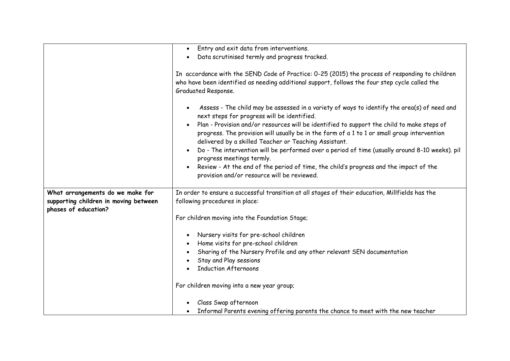|                                                               | Entry and exit data from interventions.<br>$\bullet$                                                                                                                                                                                               |
|---------------------------------------------------------------|----------------------------------------------------------------------------------------------------------------------------------------------------------------------------------------------------------------------------------------------------|
|                                                               | Data scrutinised termly and progress tracked.<br>$\bullet$                                                                                                                                                                                         |
|                                                               |                                                                                                                                                                                                                                                    |
|                                                               | In accordance with the SEND Code of Practice: 0-25 (2015) the process of responding to children<br>who have been identified as needing additional support, follows the four step cycle called the<br>Graduated Response.                           |
|                                                               |                                                                                                                                                                                                                                                    |
|                                                               | Assess - The child may be assessed in a variety of ways to identify the area(s) of need and<br>next steps for progress will be identified.                                                                                                         |
|                                                               | Plan - Provision and/or resources will be identified to support the child to make steps of<br>progress. The provision will usually be in the form of a 1 to 1 or small group intervention<br>delivered by a skilled Teacher or Teaching Assistant. |
|                                                               | Do - The intervention will be performed over a period of time (usually around 8-10 weeks). pil<br>progress meetings termly.                                                                                                                        |
|                                                               | Review - At the end of the period of time, the child's progress and the impact of the<br>provision and/or resource will be reviewed.                                                                                                               |
| What arrangements do we make for                              | In order to ensure a successful transition at all stages of their education, Millfields has the                                                                                                                                                    |
| supporting children in moving between<br>phases of education? | following procedures in place:                                                                                                                                                                                                                     |
|                                                               | For children moving into the Foundation Stage;                                                                                                                                                                                                     |
|                                                               | Nursery visits for pre-school children<br>$\bullet$                                                                                                                                                                                                |
|                                                               | Home visits for pre-school children                                                                                                                                                                                                                |
|                                                               | Sharing of the Nursery Profile and any other relevant SEN documentation                                                                                                                                                                            |
|                                                               | Stay and Play sessions                                                                                                                                                                                                                             |
|                                                               | <b>Induction Afternoons</b>                                                                                                                                                                                                                        |
|                                                               | For children moving into a new year group;                                                                                                                                                                                                         |
|                                                               | Class Swap afternoon                                                                                                                                                                                                                               |
|                                                               | Informal Parents evening offering parents the chance to meet with the new teacher                                                                                                                                                                  |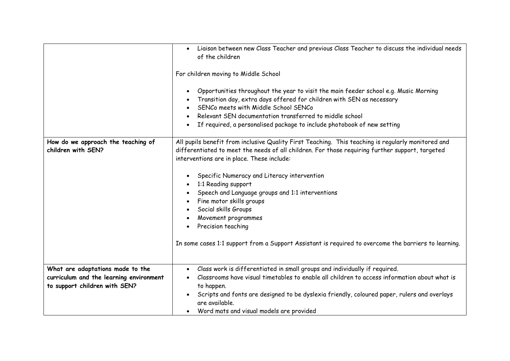|                                                                                                              | Liaison between new Class Teacher and previous Class Teacher to discuss the individual needs<br>$\bullet$<br>of the children<br>For children moving to Middle School<br>Opportunities throughout the year to visit the main feeder school e.g. Music Morning<br>$\bullet$<br>Transition day, extra days offered for children with SEN as necessary<br>SENCo meets with Middle School SENCo<br>Relevant SEN documentation transferred to middle school<br>$\bullet$<br>If required, a personalised package to include photobook of new setting                                                                    |
|--------------------------------------------------------------------------------------------------------------|------------------------------------------------------------------------------------------------------------------------------------------------------------------------------------------------------------------------------------------------------------------------------------------------------------------------------------------------------------------------------------------------------------------------------------------------------------------------------------------------------------------------------------------------------------------------------------------------------------------|
| How do we approach the teaching of<br>children with SEN?                                                     | All pupils benefit from inclusive Quality First Teaching. This teaching is regularly monitored and<br>differentiated to meet the needs of all children. For those requiring further support, targeted<br>interventions are in place. These include:<br>Specific Numeracy and Literacy intervention<br>$\bullet$<br>1:1 Reading support<br>Speech and Language groups and 1:1 interventions<br>Fine motor skills groups<br>Social skills Groups<br>Movement programmes<br>Precision teaching<br>$\bullet$<br>In some cases 1:1 support from a Support Assistant is required to overcome the barriers to learning. |
| What are adaptations made to the<br>curriculum and the learning environment<br>to support children with SEN? | Class work is differentiated in small groups and individually if required.<br>$\bullet$<br>Classrooms have visual timetables to enable all children to access information about what is<br>$\bullet$<br>to happen.<br>Scripts and fonts are designed to be dyslexia friendly, coloured paper, rulers and overlays<br>are available.<br>Word mats and visual models are provided<br>$\bullet$                                                                                                                                                                                                                     |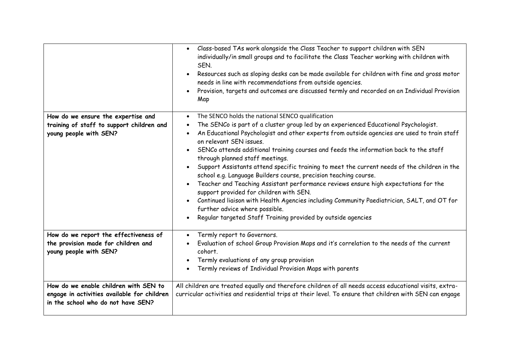|                                                                                                                            | Class-based TAs work alongside the Class Teacher to support children with SEN<br>$\bullet$<br>individually/in small groups and to facilitate the Class Teacher working with children with<br>SEN.<br>Resources such as sloping desks can be made available for children with fine and gross motor<br>$\bullet$<br>needs in line with recommendations from outside agencies.<br>Provision, targets and outcomes are discussed termly and recorded on an Individual Provision<br>Map                                                                                                                                                                                                                                                                                                                                                                                                                                                                                    |
|----------------------------------------------------------------------------------------------------------------------------|-----------------------------------------------------------------------------------------------------------------------------------------------------------------------------------------------------------------------------------------------------------------------------------------------------------------------------------------------------------------------------------------------------------------------------------------------------------------------------------------------------------------------------------------------------------------------------------------------------------------------------------------------------------------------------------------------------------------------------------------------------------------------------------------------------------------------------------------------------------------------------------------------------------------------------------------------------------------------|
| How do we ensure the expertise and<br>training of staff to support children and<br>young people with SEN?                  | The SENCO holds the national SENCO qualification<br>$\bullet$<br>The SENCo is part of a cluster group led by an experienced Educational Psychologist.<br>$\bullet$<br>An Educational Psychologist and other experts from outside agencies are used to train staff<br>$\bullet$<br>on relevant SEN issues.<br>SENCo attends additional training courses and feeds the information back to the staff<br>$\bullet$<br>through planned staff meetings.<br>Support Assistants attend specific training to meet the current needs of the children in the<br>school e.g. Language Builders course, precision teaching course.<br>Teacher and Teaching Assistant performance reviews ensure high expectations for the<br>support provided for children with SEN.<br>Continued liaison with Health Agencies including Community Paediatrician, SALT, and OT for<br>$\bullet$<br>further advice where possible.<br>Regular targeted Staff Training provided by outside agencies |
| How do we report the effectiveness of<br>the provision made for children and<br>young people with SEN?                     | Termly report to Governors.<br>$\bullet$<br>Evaluation of school Group Provision Maps and it's correlation to the needs of the current<br>cohort.<br>Termly evaluations of any group provision<br>Termly reviews of Individual Provision Maps with parents                                                                                                                                                                                                                                                                                                                                                                                                                                                                                                                                                                                                                                                                                                            |
| How do we enable children with SEN to<br>engage in activities available for children<br>in the school who do not have SEN? | All children are treated equally and therefore children of all needs access educational visits, extra-<br>curricular activities and residential trips at their level. To ensure that children with SEN can engage                                                                                                                                                                                                                                                                                                                                                                                                                                                                                                                                                                                                                                                                                                                                                     |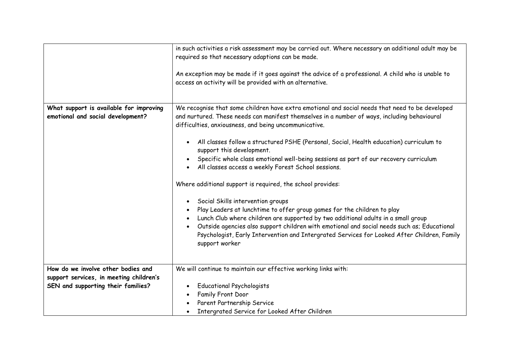|                                                                               | in such activities a risk assessment may be carried out. Where necessary an additional adult may be<br>required so that necessary adaptions can be made.<br>An exception may be made if it goes against the advice of a professional. A child who is unable to<br>access an activity will be provided with an alternative.                                                                                                                                                                                                                                                                                                                                                                                                                                                                                                                                                                                                                                                                                                                                 |
|-------------------------------------------------------------------------------|------------------------------------------------------------------------------------------------------------------------------------------------------------------------------------------------------------------------------------------------------------------------------------------------------------------------------------------------------------------------------------------------------------------------------------------------------------------------------------------------------------------------------------------------------------------------------------------------------------------------------------------------------------------------------------------------------------------------------------------------------------------------------------------------------------------------------------------------------------------------------------------------------------------------------------------------------------------------------------------------------------------------------------------------------------|
| What support is available for improving<br>emotional and social development?  | We recognise that some children have extra emotional and social needs that need to be developed<br>and nurtured. These needs can manifest themselves in a number of ways, including behavioural<br>difficulties, anxiousness, and being uncommunicative.<br>All classes follow a structured PSHE (Personal, Social, Health education) curriculum to<br>$\bullet$<br>support this development.<br>Specific whole class emotional well-being sessions as part of our recovery curriculum<br>All classes access a weekly Forest School sessions.<br>$\bullet$<br>Where additional support is required, the school provides:<br>Social Skills intervention groups<br>$\bullet$<br>Play Leaders at lunchtime to offer group games for the children to play<br>Lunch Club where children are supported by two additional adults in a small group<br>Outside agencies also support children with emotional and social needs such as; Educational<br>Psychologist, Early Intervention and Intergrated Services for Looked After Children, Family<br>support worker |
| How do we involve other bodies and<br>support services, in meeting children's | We will continue to maintain our effective working links with:                                                                                                                                                                                                                                                                                                                                                                                                                                                                                                                                                                                                                                                                                                                                                                                                                                                                                                                                                                                             |
| SEN and supporting their families?                                            | <b>Educational Psychologists</b><br>$\bullet$<br>Family Front Door<br>Parent Partnership Service<br>Intergrated Service for Looked After Children<br>$\bullet$                                                                                                                                                                                                                                                                                                                                                                                                                                                                                                                                                                                                                                                                                                                                                                                                                                                                                             |